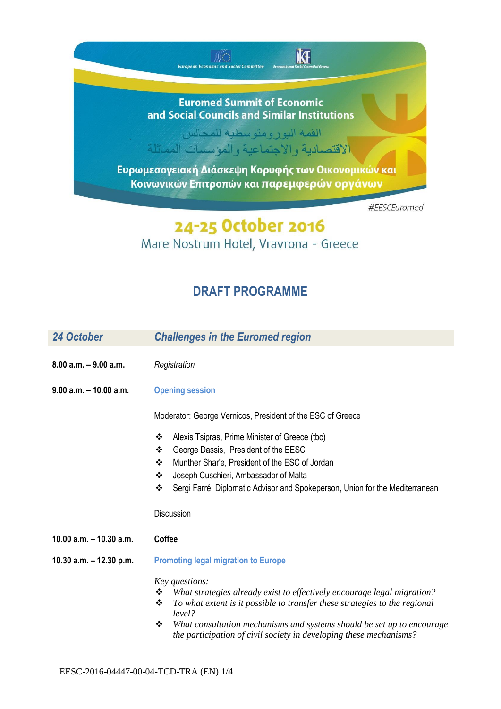## **Euromed Summit of Economic** and Social Councils and Similar Institutions

 $\label{eq:2} \bigotimes_{\text{Fermi}} \bigotimes_{\text{Fermi}} \cdots$  European Economic and Social Committee

KE

القمة اليورومتوسطية للمجالس الاقتصادية والاجتماعية والمؤسسات المماثلة

Ευρωμεσογειακή Διάσκεψη Κορυφής των Οικονομικών και Κοινωνικών Επιτροπών και παρεμφερών οργάνων

#EESCEuromed

## 24-25 October 2016 Mare Nostrum Hotel, Vravrona - Greece

## **DRAFT PROGRAMME**

| 24 October                | <b>Challenges in the Euromed region</b>                                                                                                           |
|---------------------------|---------------------------------------------------------------------------------------------------------------------------------------------------|
| $8.00$ a.m. $-9.00$ a.m.  | Registration                                                                                                                                      |
| $9.00$ a.m. $-10.00$ a.m. | <b>Opening session</b>                                                                                                                            |
|                           | Moderator: George Vernicos, President of the ESC of Greece                                                                                        |
|                           | Alexis Tsipras, Prime Minister of Greece (tbc)<br>❖                                                                                               |
|                           | ❖<br>George Dassis, President of the EESC                                                                                                         |
|                           | Munther Shar'e, President of the ESC of Jordan<br>❖                                                                                               |
|                           | Joseph Cuschieri, Ambassador of Malta<br>❖                                                                                                        |
|                           | Sergi Farré, Diplomatic Advisor and Spokeperson, Union for the Mediterranean<br>❖                                                                 |
|                           | Discussion                                                                                                                                        |
| 10.00 $a.m. - 10.30 a.m.$ | <b>Coffee</b>                                                                                                                                     |
| 10.30 a.m. $-$ 12.30 p.m. | <b>Promoting legal migration to Europe</b>                                                                                                        |
|                           | Key questions:                                                                                                                                    |
|                           | What strategies already exist to effectively encourage legal migration?<br>❖                                                                      |
|                           | ❖<br>To what extent is it possible to transfer these strategies to the regional<br>level?                                                         |
|                           | What consultation mechanisms and systems should be set up to encourage<br>❖<br>the participation of civil society in developing these mechanisms? |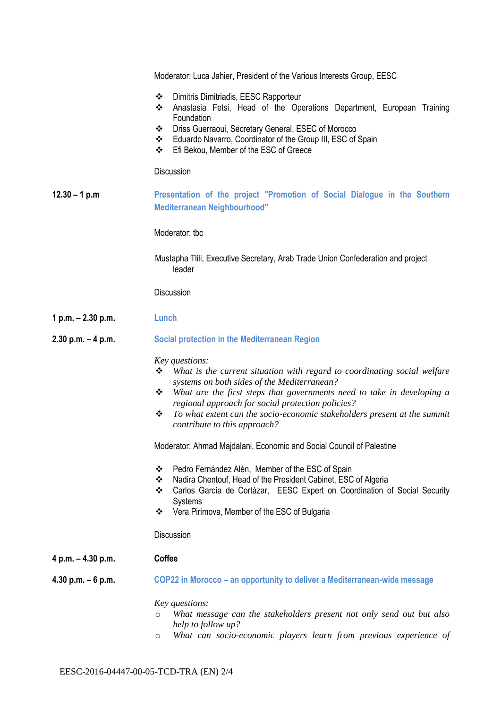|                       | Moderator: Luca Jahier, President of the Various Interests Group, EESC                                                                                                                                                                                                                                                                                                                              |
|-----------------------|-----------------------------------------------------------------------------------------------------------------------------------------------------------------------------------------------------------------------------------------------------------------------------------------------------------------------------------------------------------------------------------------------------|
|                       | Dimitris Dimitriadis, EESC Rapporteur<br>❖<br>Anastasia Fetsi, Head of the Operations Department, European Training<br>❖<br>Foundation                                                                                                                                                                                                                                                              |
|                       | Driss Guerraoui, Secretary General, ESEC of Morocco<br>❖<br>Eduardo Navarro, Coordinator of the Group III, ESC of Spain<br>❖<br>Efi Bekou, Member of the ESC of Greece<br>❖                                                                                                                                                                                                                         |
|                       | Discussion                                                                                                                                                                                                                                                                                                                                                                                          |
| $12.30 - 1 p.m$       | Presentation of the project "Promotion of Social Dialogue in the Southern<br><b>Mediterranean Neighbourhood"</b>                                                                                                                                                                                                                                                                                    |
|                       | Moderator: tbc                                                                                                                                                                                                                                                                                                                                                                                      |
|                       | Mustapha Tilli, Executive Secretary, Arab Trade Union Confederation and project<br>leader                                                                                                                                                                                                                                                                                                           |
|                       | Discussion                                                                                                                                                                                                                                                                                                                                                                                          |
| 1 p.m. - 2.30 p.m.    | Lunch                                                                                                                                                                                                                                                                                                                                                                                               |
| $2.30$ p.m. $-4$ p.m. | <b>Social protection in the Mediterranean Region</b>                                                                                                                                                                                                                                                                                                                                                |
|                       | Key questions:<br>What is the current situation with regard to coordinating social welfare<br>❖<br>systems on both sides of the Mediterranean?<br>What are the first steps that governments need to take in developing a<br>❖<br>regional approach for social protection policies?<br>To what extent can the socio-economic stakeholders present at the summit<br>❖<br>contribute to this approach? |
|                       | Moderator: Ahmad Majdalani, Economic and Social Council of Palestine                                                                                                                                                                                                                                                                                                                                |
|                       | Pedro Fernández Alén, Member of the ESC of Spain<br>❖<br>Nadira Chentouf, Head of the President Cabinet, ESC of Algeria<br>❖<br>Carlos García de Cortázar, EESC Expert on Coordination of Social Security<br>❖<br><b>Systems</b><br>Vera Pirimova, Member of the ESC of Bulgaria<br>❖                                                                                                               |
|                       | Discussion                                                                                                                                                                                                                                                                                                                                                                                          |
| 4 p.m. - 4.30 p.m.    | Coffee                                                                                                                                                                                                                                                                                                                                                                                              |
| 4.30 p.m. $-6$ p.m.   | COP22 in Morocco – an opportunity to deliver a Mediterranean-wide message                                                                                                                                                                                                                                                                                                                           |
|                       | Key questions:<br>What message can the stakeholders present not only send out but also<br>$\circ$<br>help to follow up?<br>What can socio-economic players learn from previous experience of<br>$\circ$                                                                                                                                                                                             |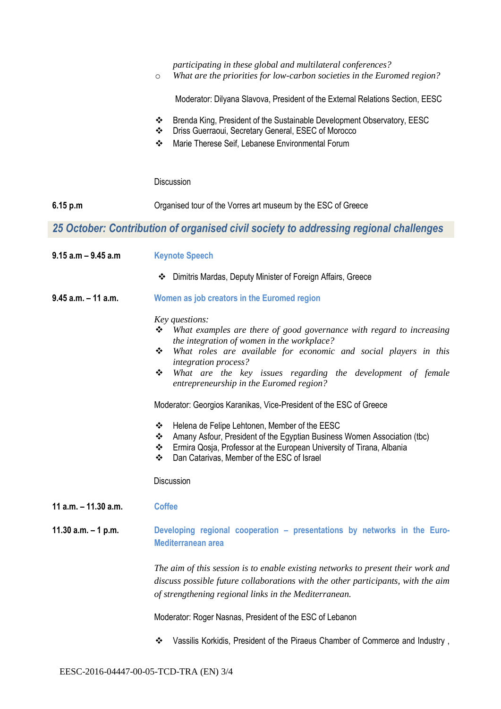|                        | participating in these global and multilateral conferences?<br>What are the priorities for low-carbon societies in the Euromed region?<br>$\circ$                                                                                                                                                                                                                                                                                                                                                                                                                      |
|------------------------|------------------------------------------------------------------------------------------------------------------------------------------------------------------------------------------------------------------------------------------------------------------------------------------------------------------------------------------------------------------------------------------------------------------------------------------------------------------------------------------------------------------------------------------------------------------------|
|                        | Moderator: Dilyana Slavova, President of the External Relations Section, EESC                                                                                                                                                                                                                                                                                                                                                                                                                                                                                          |
|                        | Brenda King, President of the Sustainable Development Observatory, EESC<br>❖<br>Driss Guerraoui, Secretary General, ESEC of Morocco<br>❖<br>❖<br>Marie Therese Seif, Lebanese Environmental Forum                                                                                                                                                                                                                                                                                                                                                                      |
|                        | Discussion                                                                                                                                                                                                                                                                                                                                                                                                                                                                                                                                                             |
| 6.15 p.m               | Organised tour of the Vorres art museum by the ESC of Greece                                                                                                                                                                                                                                                                                                                                                                                                                                                                                                           |
|                        | 25 October: Contribution of organised civil society to addressing regional challenges                                                                                                                                                                                                                                                                                                                                                                                                                                                                                  |
| $9.15$ a.m $-9.45$ a.m | <b>Keynote Speech</b>                                                                                                                                                                                                                                                                                                                                                                                                                                                                                                                                                  |
|                        | Dimitris Mardas, Deputy Minister of Foreign Affairs, Greece<br>❖                                                                                                                                                                                                                                                                                                                                                                                                                                                                                                       |
| $9.45$ a.m. $-11$ a.m. | Women as job creators in the Euromed region                                                                                                                                                                                                                                                                                                                                                                                                                                                                                                                            |
|                        | Key questions:<br>What examples are there of good governance with regard to increasing<br>❖<br>the integration of women in the workplace?<br>What roles are available for economic and social players in this<br>❖<br>integration process?<br>What are the key issues regarding the development of female<br>❖<br>entrepreneurship in the Euromed region?<br>Moderator: Georgios Karanikas, Vice-President of the ESC of Greece<br>Helena de Felipe Lehtonen, Member of the EESC<br>❖<br>❖<br>Amany Asfour, President of the Egyptian Business Women Association (tbc) |
|                        | Ermira Qosja, Professor at the European University of Tirana, Albania<br>❖<br>Dan Catarivas, Member of the ESC of Israel<br>❖                                                                                                                                                                                                                                                                                                                                                                                                                                          |
|                        | Discussion                                                                                                                                                                                                                                                                                                                                                                                                                                                                                                                                                             |
| 11 a.m. $-$ 11.30 a.m. | <b>Coffee</b>                                                                                                                                                                                                                                                                                                                                                                                                                                                                                                                                                          |
| 11.30 $a.m. - 1 p.m.$  | Developing regional cooperation - presentations by networks in the Euro-<br><b>Mediterranean area</b>                                                                                                                                                                                                                                                                                                                                                                                                                                                                  |
|                        | The aim of this session is to enable existing networks to present their work and<br>discuss possible future collaborations with the other participants, with the aim<br>of strengthening regional links in the Mediterranean.                                                                                                                                                                                                                                                                                                                                          |
|                        | Moderator: Roger Nasnas, President of the ESC of Lebanon                                                                                                                                                                                                                                                                                                                                                                                                                                                                                                               |
|                        | Vassilis Korkidis, President of the Piraeus Chamber of Commerce and Industry,<br>❖                                                                                                                                                                                                                                                                                                                                                                                                                                                                                     |